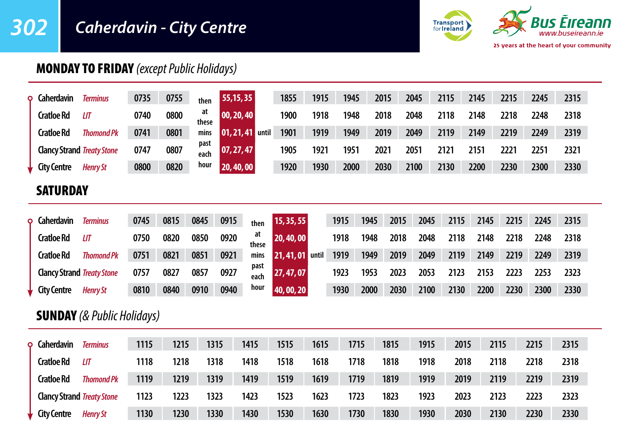# *302 Caherdavin - City Centre*



# MONDAY TO FRIDAY *(except Public Holidays)*

| ٥ | <b>Caherdavin</b>                 | <b>Terminus</b>   | 0735 | 0755 | then         | 55, 15, 35           |              | 1855           | 1915 | 1945 | 2015 |      | 2045 | 2115 | 2145 | 2215 | 2245 | 2315 |  |
|---|-----------------------------------|-------------------|------|------|--------------|----------------------|--------------|----------------|------|------|------|------|------|------|------|------|------|------|--|
|   | <b>Cratloe Rd</b>                 | LIТ               | 0740 | 0800 | at<br>these  | $ 00, 20, 40\rangle$ |              | 1900           | 1918 | 1948 | 2018 |      | 2048 | 2118 | 2148 | 2218 | 2248 | 2318 |  |
|   | <b>Cratloe Rd</b>                 | <b>Thomond Pk</b> | 0741 | 0801 | mins         | 01, 21, 41 until     |              | 1901           | 1919 | 1949 | 2019 |      | 2049 | 2119 | 2149 | 2219 | 2249 | 2319 |  |
|   | <b>Clancy Strand Treaty Stone</b> |                   | 0747 | 0807 | past<br>each | 07, 27, 47           |              | 1905           | 1921 | 1951 | 2021 |      | 2051 | 2121 | 2151 | 2221 | 2251 | 2321 |  |
|   | <b>City Centre</b>                | <b>Henry St</b>   | 0800 | 0820 | hour         | 20, 40, 00           |              | 1920           | 1930 | 2000 | 2030 |      | 2100 | 2130 | 2200 | 2230 | 2300 | 2330 |  |
|   | <b>SATURDAY</b>                   |                   |      |      |              |                      |              |                |      |      |      |      |      |      |      |      |      |      |  |
| ٥ | Caherdavin                        | <b>Terminus</b>   | 0745 | 0815 | 0845         | 0915                 | then         | 15, 35, 55     |      | 1915 | 1945 | 2015 | 2045 | 2115 | 2145 | 2215 | 2245 | 2315 |  |
|   | <b>Cratloe Rd</b>                 | LIТ               | 0750 | 0820 | 0850         | 0920                 | at<br>these  | 20,40,00       |      | 1918 | 1948 | 2018 | 2048 | 2118 | 2148 | 2218 | 2248 | 2318 |  |
|   | <b>Cratloe Rd</b>                 | <b>Thomond Pk</b> | 0751 | 0821 | 0851         | 0921                 | mins         | 21,41,01 until |      | 1919 | 1949 | 2019 | 2049 | 2119 | 2149 | 2219 | 2249 | 2319 |  |
|   | <b>Clancy Strand Treaty Stone</b> |                   | 0757 | 0827 | 0857         | 0927                 | past<br>each | 27, 47, 07     |      | 1923 | 1953 | 2023 | 2053 | 2123 | 2153 | 2223 | 2253 | 2323 |  |
|   | <b>City Centre</b>                | <b>Henry St</b>   | 0810 | 0840 | 0910         | 0940                 | hour         | 40,00,20       |      | 1930 | 2000 | 2030 | 2100 | 2130 | 2200 | 2230 | 2300 | 2330 |  |

## SUNDAY *(& Public Holidays)*

| <b>Q</b> Caherdavin               | <b>Terminus</b>   | 1115 | 1215 | 1315 | 1415 | 1515 | 1615 | 1715 | 1815 | 1915 | 2015 | 2115 | 2215 | 2315 |
|-----------------------------------|-------------------|------|------|------|------|------|------|------|------|------|------|------|------|------|
| Cratloe Rd                        | III               | 1118 | 1218 | 1318 | 1418 | 1518 | 1618 | 1718 | 1818 | 1918 | 2018 | 2118 | 2218 | 2318 |
| Cratloe Rd                        | <b>Thomond Pk</b> | 1119 | 1219 | 1319 | 1419 | 1519 | 1619 | 1719 | 1819 | 1919 | 2019 | 2119 | 2219 | 2319 |
| <b>Clancy Strand Treaty Stone</b> |                   | 1123 | 1223 | 1323 | 1423 | 1523 | 1623 | 1723 | 1823 | 1923 | 2023 | 2123 | 2223 | 2323 |
| $\downarrow$ City Centre          | <b>Henry St</b>   | 1130 | 1230 | 1330 | 1430 | 1530 | 1630 | 1730 | 1830 | 1930 | 2030 | 2130 | 2230 | 2330 |